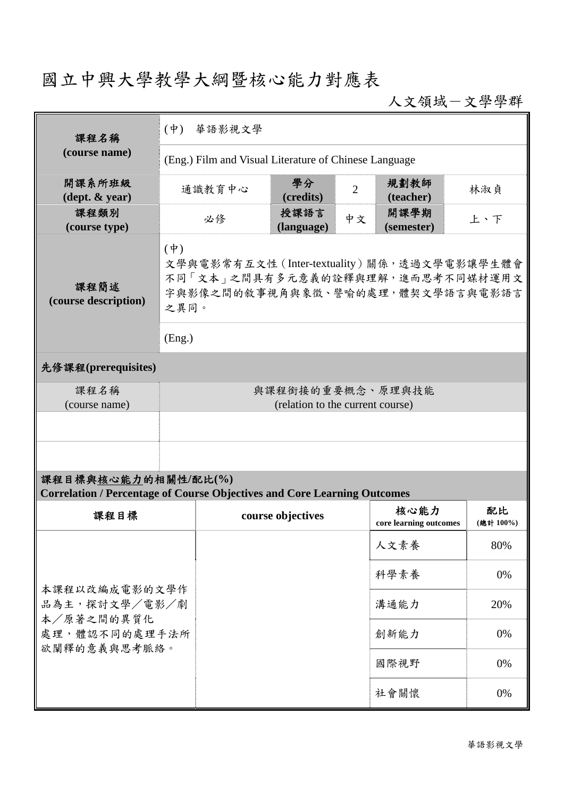## 國立中興大學教學大綱暨核心能力對應表

人文領域-文學學群

| 課程名稱                                                                                                   | 華語影視文學<br>$(\Psi)$                                                                                                                                 |        |                    |                |                                |                |  |
|--------------------------------------------------------------------------------------------------------|----------------------------------------------------------------------------------------------------------------------------------------------------|--------|--------------------|----------------|--------------------------------|----------------|--|
| (course name)                                                                                          | (Eng.) Film and Visual Literature of Chinese Language                                                                                              |        |                    |                |                                |                |  |
| 開課系所班級<br>$(\text{dept.} \& \text{ year})$                                                             |                                                                                                                                                    | 通識教育中心 | 學分<br>(credits)    | $\overline{2}$ | 規劃教師<br>(teacher)              | 林淑貞            |  |
| 課程類別<br>(course type)                                                                                  | 必修                                                                                                                                                 |        | 授課語言<br>(language) | 中文             | 開課學期<br>(semester)             | 上、下            |  |
| 課程簡述<br>(course description)                                                                           | $(\phi)$<br>文學與電影常有互文性 (Inter-textuality) 關係,透過文學電影讓學生體會<br>不同「文本」之間具有多元意義的詮釋與理解,進而思考不同媒材運用文<br>字與影像之間的敘事視角與象徵、譬喻的處理,體契文學語言與電影語言<br>之異同。<br>(Eng.) |        |                    |                |                                |                |  |
| 先修課程(prerequisites)                                                                                    |                                                                                                                                                    |        |                    |                |                                |                |  |
| 課程名稱<br>(course name)                                                                                  | 與課程銜接的重要概念、原理與技能<br>(relation to the current course)                                                                                               |        |                    |                |                                |                |  |
|                                                                                                        |                                                                                                                                                    |        |                    |                |                                |                |  |
|                                                                                                        |                                                                                                                                                    |        |                    |                |                                |                |  |
| 課程目標與核心能力的相關性/配比(%)<br><b>Correlation / Percentage of Course Objectives and Core Learning Outcomes</b> |                                                                                                                                                    |        |                    |                |                                |                |  |
| 課程目標                                                                                                   |                                                                                                                                                    |        | course objectives  |                | 核心能力<br>core learning outcomes | 配比<br>(總計100%) |  |
| 本課程以改編成電影的文學作<br>品為主,探討文學/電影/劇<br>本/原著之間的異質化<br>處理,體認不同的處理手法所<br>欲闡釋的意義與思考脈絡。                          |                                                                                                                                                    |        |                    |                | 人文素養                           | 80%            |  |
|                                                                                                        |                                                                                                                                                    |        |                    |                | 科學素養                           | 0%             |  |
|                                                                                                        |                                                                                                                                                    |        |                    |                | 溝通能力                           | 20%            |  |
|                                                                                                        |                                                                                                                                                    |        |                    |                | 創新能力                           | 0%             |  |
|                                                                                                        |                                                                                                                                                    |        |                    |                | 國際視野                           | 0%             |  |
|                                                                                                        |                                                                                                                                                    |        |                    |                | 社會關懷                           | 0%             |  |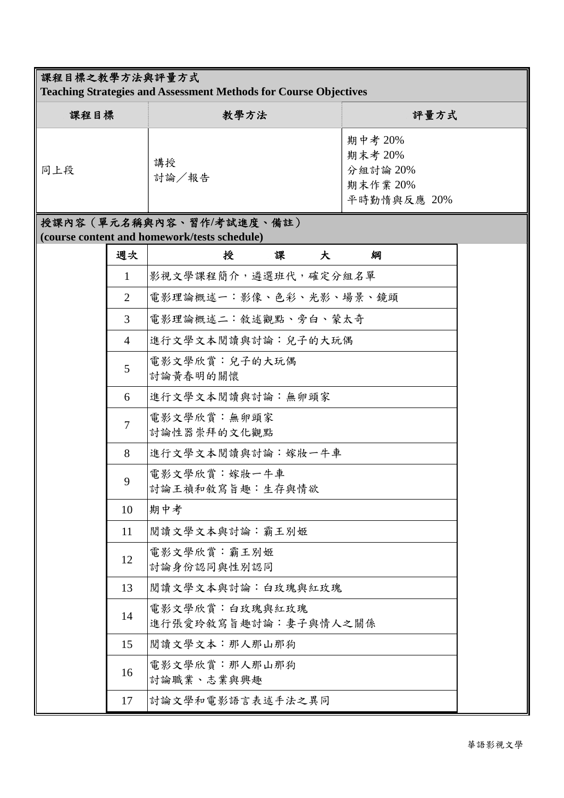## 課程目標之教學方法與評量方式

**Teaching Strategies and Assessment Methods for Course Objectives**

| 課程目標 | 教學方法        | 評量方式                                                      |
|------|-------------|-----------------------------------------------------------|
| 同上段  | 講授<br>討論/報告 | 期中考 20%<br>期末考 20%<br>分組討論 20%<br>期末作業 20%<br>平時勤惰與反應 20% |

## 授課內容(單元名稱與內容、習作**/**考試進度、備註) **(course content and homework/tests schedule)**

| 週次             | 授                                      | 課 | 大 | 綱 |  |
|----------------|----------------------------------------|---|---|---|--|
| $\mathbf{1}$   | 影視文學課程簡介,遴選班代,確定分組名單                   |   |   |   |  |
| $\overline{2}$ | 電影理論概述一:影像、色彩、光影、場景、鏡頭                 |   |   |   |  |
| 3              | 電影理論概述二:敘述觀點、旁白、蒙太奇                    |   |   |   |  |
| $\overline{4}$ | 進行文學文本閱讀與討論:兒子的大玩偶                     |   |   |   |  |
| 5              | 電影文學欣賞:兒子的大玩偶<br>討論黃春明的關懷              |   |   |   |  |
| 6              | 進行文學文本閱讀與討論:無卵頭家                       |   |   |   |  |
| $\overline{7}$ | 電影文學欣賞:無卵頭家<br>討論性器崇拜的文化觀點             |   |   |   |  |
| 8              | 進行文學文本閱讀與討論:嫁妝一牛車                      |   |   |   |  |
| 9              | 電影文學欣賞:嫁妝一牛車<br>討論王禎和敘寫旨趣:生存與情欲        |   |   |   |  |
| 10             | 期中考                                    |   |   |   |  |
| 11             | 閲讀文學文本與討論:霸王別姬                         |   |   |   |  |
| 12             | 電影文學欣賞:霸王別姬<br>討論身份認同與性別認同             |   |   |   |  |
| 13             | 閲讀文學文本與討論:白玫瑰與紅玫瑰                      |   |   |   |  |
| 14             | 電影文學欣賞:白玫瑰與紅玫瑰<br>進行張愛玲敘寫旨趣討論:妻子與情人之關係 |   |   |   |  |
| 15             | 閲讀文學文本:那人那山那狗                          |   |   |   |  |
| 16             | 電影文學欣賞:那人那山那狗<br>討論職業、志業與興趣            |   |   |   |  |
| 17             | 討論文學和電影語言表述手法之異同                       |   |   |   |  |